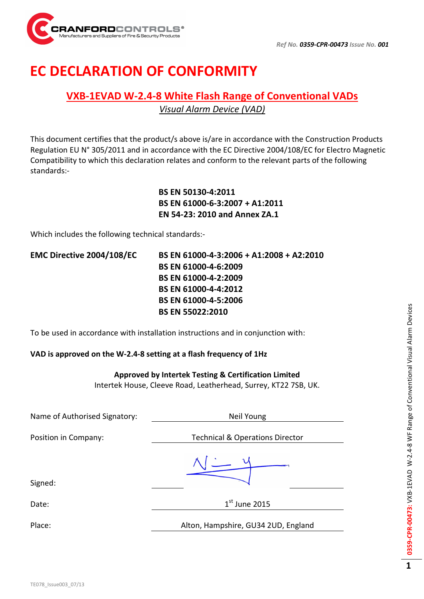

# EC DECLARATION OF CONFORMITY

### VXB-1EVAD W-2.4-8 White Flash Range of Conventional VADs Visual Alarm Device (VAD)

This document certifies that the product/s above is/are in accordance with the Construction Products Regulation EU N° 305/2011 and in accordance with the EC Directive 2004/108/EC for Electro Magnetic Compatibility to which this declaration relates and conform to the relevant parts of the following standards:-

> BS EN 50130-4:2011 BS EN 61000-6-3:2007 + A1:2011 EN 54-23: 2010 and Annex ZA.1

Which includes the following technical standards:-

EMC Directive 2004/108/EC BS EN 61000-4-3:2006 + A1:2008 + A2:2010 BS EN 61000-4-6:2009 BS EN 61000-4-2:2009 BS EN 61000-4-4:2012 BS EN 61000-4-5:2006 BS EN 55022:2010

To be used in accordance with installation instructions and in conjunction with:

#### VAD is approved on the W-2.4-8 setting at a flash frequency of 1Hz

#### Approved by Intertek Testing & Certification Limited

Intertek House, Cleeve Road, Leatherhead, Surrey, KT22 7SB, UK.

| Name of Authorised Signatory: | Neil Young                                 |
|-------------------------------|--------------------------------------------|
| Position in Company:          | <b>Technical &amp; Operations Director</b> |
| Signed:                       |                                            |
| Date:                         | $1st$ June 2015                            |
| Place:                        | Alton, Hampshire, GU34 2UD, England        |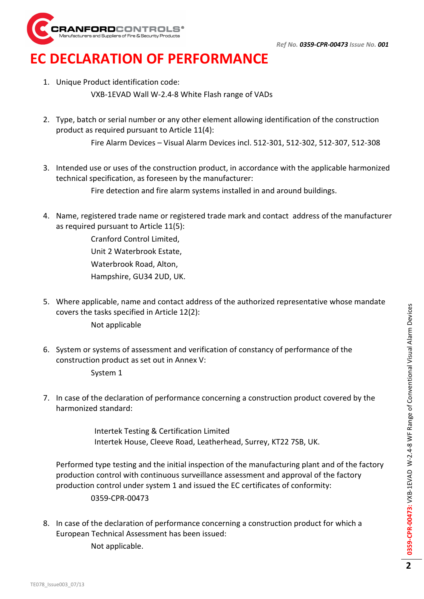

## EC DECLARATION OF PERFORMANCE

1. Unique Product identification code:

VXB-1EVAD Wall W-2.4-8 White Flash range of VADs

2. Type, batch or serial number or any other element allowing identification of the construction product as required pursuant to Article 11(4):

Fire Alarm Devices – Visual Alarm Devices incl. 512-301, 512-302, 512-307, 512-308

3. Intended use or uses of the construction product, in accordance with the applicable harmonized technical specification, as foreseen by the manufacturer:

Fire detection and fire alarm systems installed in and around buildings.

4. Name, registered trade name or registered trade mark and contact address of the manufacturer as required pursuant to Article 11(5):

> Cranford Control Limited, Unit 2 Waterbrook Estate, Waterbrook Road, Alton, Hampshire, GU34 2UD, UK.

5. Where applicable, name and contact address of the authorized representative whose mandate covers the tasks specified in Article 12(2):

Not applicable

- 6. System or systems of assessment and verification of constancy of performance of the construction product as set out in Annex V:
	- System 1
- 7. In case of the declaration of performance concerning a construction product covered by the harmonized standard:

Intertek Testing & Certification Limited Intertek House, Cleeve Road, Leatherhead, Surrey, KT22 7SB, UK.

Performed type testing and the initial inspection of the manufacturing plant and of the factory production control with continuous surveillance assessment and approval of the factory production control under system 1 and issued the EC certificates of conformity:

0359-CPR-00473

8. In case of the declaration of performance concerning a construction product for which a European Technical Assessment has been issued:

Not applicable.